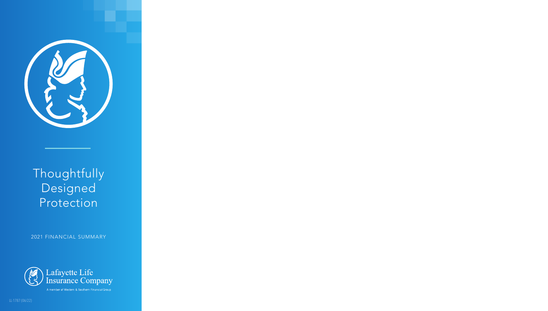

# **Thoughtfully** Designed Protection

2021 FINANCIAL SUMMARY



A member of Western & Southern Financial Group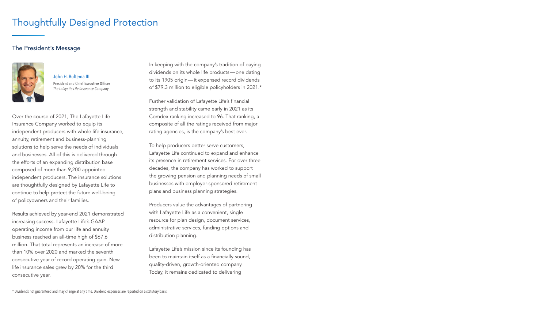# Thoughtfully Designed Protection

### The President's Message



John H. Bultema III President and Chief Executive Officer *The Lafayette Life Insurance Company*

Over the course of 2021, The Lafayette Life Insurance Company worked to equip its independent producers with whole life insurance, annuity, retirement and business-planning solutions to help serve the needs of individuals and businesses. All of this is delivered through the efforts of an expanding distribution base composed of more than 9,200 appointed independent producers. The insurance solutions are thoughtfully designed by Lafayette Life to continue to help protect the future well-being of policyowners and their families.

Results achieved by year-end 2021 demonstrated increasing success. Lafayette Life's GAAP operating income from our life and annuity business reached an all-time high of \$67.6 million. That total represents an increase of more than 10% over 2020 and marked the seventh consecutive year of record operating gain. New life insurance sales grew by 20% for the third consecutive year.

In keeping with the company's tradition of paying dividends on its whole life products—one dating to its 1905 origin—it expensed record dividends of \$79.3 million to eligible policyholders in 2021.\*

Further validation of Lafayette Life's financial strength and stability came early in 2021 as its Comdex ranking increased to 96. That ranking, a composite of all the ratings received from major rating agencies, is the company's best ever.

To help producers better serve customers, Lafayette Life continued to expand and enhance its presence in retirement services. For over three decades, the company has worked to support the growing pension and planning needs of small businesses with employer-sponsored retirement plans and business planning strategies.

Producers value the advantages of partnering with Lafayette Life as a convenient, single resource for plan design, document services, administrative services, funding options and distribution planning.

Lafayette Life's mission since its founding has been to maintain itself as a financially sound, quality-driven, growth-oriented company. Today, it remains dedicated to delivering

\* Dividends not guaranteed and may change at any time. Dividend expenses are reported on a statutory basis.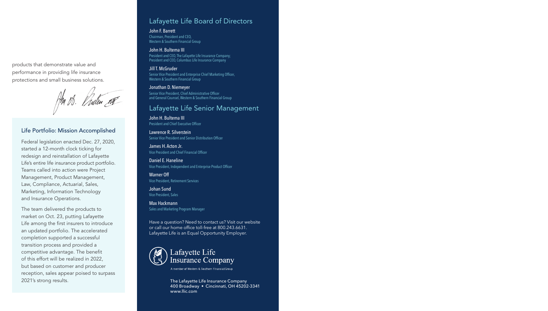products that demonstrate value and performance in providing life insurance protections and small business solutions.

B. Puten R

#### Life Portfolio: Mission Accomplished

Federal legislation enacted Dec. 27, 2020, started a 12-month clock ticking for redesign and reinstallation of Lafayette Life's entire life insurance product portfolio. Teams called into action were Project Management, Product Management, Law, Compliance, Actuarial, Sales, Marketing, Information Technology and Insurance Operations.

The team delivered the products to market on Oct. 23, putting Lafayette Life among the first insurers to introduce an updated portfolio. The accelerated completion supported a successful transition process and provided a competitive advantage. The benefit of this effort will be realized in 2022, but based on customer and producer reception, sales appear poised to surpass 2021's strong results.

### Lafayette Life Board of Directors

John F. Barrett Chairman, President and CEO, Western & Southern Financial Group

John H. Bultema III President and CEO, The Lafayette Life Insurance Company; President and CEO, Columbus Life Insurance Company

Jill T. McGruder Senior Vice President and Enterprise Chief Marketing Officer, Western & Southern Financial Group

#### Jonathan D. Niemeyer

Senior Vice President, Chief Administrative Officer and General Counsel, Western & Southern Financial Group

### Lafayette Life Senior Management

John H. Bultema III President and Chief Executive Officer

Lawrence R. Silverstein Senior Vice President and Senior Distribution Officer

James H. Acton Jr. Vice President and Chief Financial Officer

Daniel E. Haneline Vice President, Independent and Enterprise Product Officer

Warner Off Vice President, Retirement Services

Johan Sund Vice President, Sales

Max Hackmann Sales and Marketing Program Manager

Have a question? Need to contact us? Visit our website or call our home office toll-free at 800.243.6631. Lafayette Life is an Equal Opportunity Employer.



A member of Western & Southern Financial Group

The Lafayette Life Insurance Company 400 Broadway • Cincinnati, OH 45202-3341 www.llic.com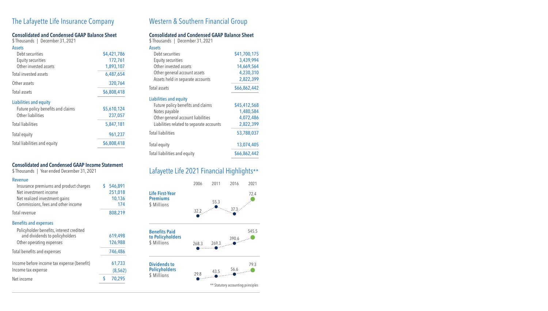# The Lafayette Life Insurance Company Mestern & Southern Financial Group

### Consolidated and Condensed GAAP Balance Sheet

\$ Thousands | December 31, 2021 **Accotc** 

| ASSEIS                            |             |
|-----------------------------------|-------------|
| Debt securities                   | \$4,421,786 |
| <b>Equity securities</b>          | 172,761     |
| Other invested assets             | 1,893,107   |
| Total invested assets             | 6,487,654   |
| Other assets                      | 320,764     |
| Total assets                      | \$6,808,418 |
| Liabilities and equity            |             |
| Future policy benefits and claims | \$5,610,124 |
| Other liabilities                 | 237,057     |
| <b>Total liabilities</b>          | 5,847,181   |
| Total equity                      | 961,237     |
| Total liabilities and equity      | \$6,808,418 |
|                                   |             |

#### Consolidated and Condensed GAAP Income Statement

\$ Thousands | Year ended December 31, 2021

#### Revenue

| Insurance premiums and product charges     | \$<br>546,891 |
|--------------------------------------------|---------------|
| Net investment income                      | 251,018       |
| Net realized investment gains              | 10,136        |
| Commissions, fees and other income         | 174           |
| Total revenue                              | 808,219       |
| <b>Benefits and expenses</b>               |               |
| Policyholder benefits, interest credited   |               |
| and dividends to policyholders             | 619,498       |
| Other operating expenses                   | 126,988       |
| Total benefits and expenses                | 746,486       |
| Income before income tax expense (benefit) | 61,733        |
| Income tax expense                         | (8, 562)      |
| Net income                                 | \$<br>70,295  |
|                                            |               |

#### Consolidated and Condensed GAAP Balance Sheet

| \$Thousands   December 31, 2021          |              |
|------------------------------------------|--------------|
| <b>Assets</b>                            |              |
| Debt securities                          | \$41,700,175 |
| <b>Equity securities</b>                 | 3,439,994    |
| Other invested assets                    | 14,669,564   |
| Other general account assets             | 4,230,310    |
| Assets held in separate accounts         | 2,822,399    |
| Total assets                             | \$66,862,442 |
| Liabilities and equity                   |              |
| Future policy benefits and claims        | \$45,412,568 |
| Notes payable                            | 1,480,584    |
| Other general account liabilities        | 4,072,486    |
| Liabilities related to separate accounts | 2,822,399    |
| <b>Total liabilities</b>                 | 53,788,037   |
| Total equity                             | 13,074,405   |
| Total liabilities and equity             | \$66,862,442 |

# Lafayette Life 2021 Financial Highlights\*\*